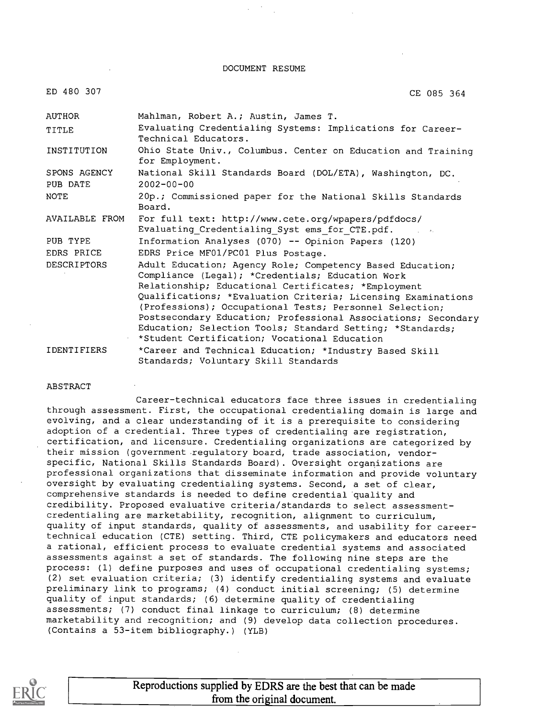DOCUMENT RESUME

CE 085 364

ED 480 307

AUTHOR TITLE INSTITUTION SPONS AGENCY PUB DATE NOTE AVAILABLE FROM PUB TYPE EDRS PRICE DESCRIPTORS IDENTIFIERS Mahlman, Robert A.; Austin, James T. Evaluating Credentialing Systems: Implications for Career-Technical Educators. Ohio State Univ., Columbus. Center on Education and Training for Employment. National Skill Standards Board (DOL/ETA), Washington, DC. 2002-00-00 20p.; Commissioned paper for the National Skills Standards Board. For full text: http://www.cete.org/wpapers/pdfdocs/ Evaluating\_Credentialing\_Syst ems\_for\_CTE.pdf. Information Analyses (070)  $-$ - Opinion Papers (120) EDRS Price MF01/PC01 Plus Postage. Adult Education; Agency Role; Competency Based Education; Compliance (Legal); \*Credentials; Education Work Relationship; Educational Certificates; \*Employment Qualifications; \*Evaluation Criteria; Licensing Examinations (Professions); Occupational Tests; Personnel Selection; Postsecondary Education; Professional Associations; Secondary Education; Selection Tools; Standard Setting; \*Standards; \*Student Certification; Vocational Education \*Career and Technical Education; \*Industry Based Skill Standards; Voluntary Skill Standards

#### ABSTRACT

Career-technical educators face three issues in credentialing through assessment. First, the occupational credentialing domain is large and evolving, and a clear understanding of it is a prerequisite to considering adoption of a credential. Three types of credentialing are registration, certification, and licensure. Credentialing organizations are categorized by their mission (government .regulatory board, trade association, vendorspecific, National Skills Standards Board) . Oversight organizations are professional organizations that disseminate information and provide voluntary oversight by evaluating credentialing systems. Second, a set of clear, comprehensive standards is needed to define credential 'quality and credibility. Proposed evaluative criteria/standards to select assessmentcredentialing are marketability, recognition, alignment to curriculum, quality of input standards, quality of assessments, and usability for careertechnical education (CTE) setting. Third, CTE policymakers and educators need a rational, efficient process to evaluate credential systems and associated assessments against a set of standards. The following nine steps are the process: (1) define purposes and uses of occupational credentialing systems; (2) set evaluation criteria; (3) identify credentialing systems and evaluate preliminary link to programs; (4) conduct initial screening; (5) determine quality of input standards; (6) determine quality of credentialing assessments; (7) conduct final linkage to curriculum; (8) determine marketability and recognition; and (9) develop data collection procedures. (Contains a 53-item bibliography.) (YLB)



Reproductions supplied by EDRS are the best that can be made from the original document.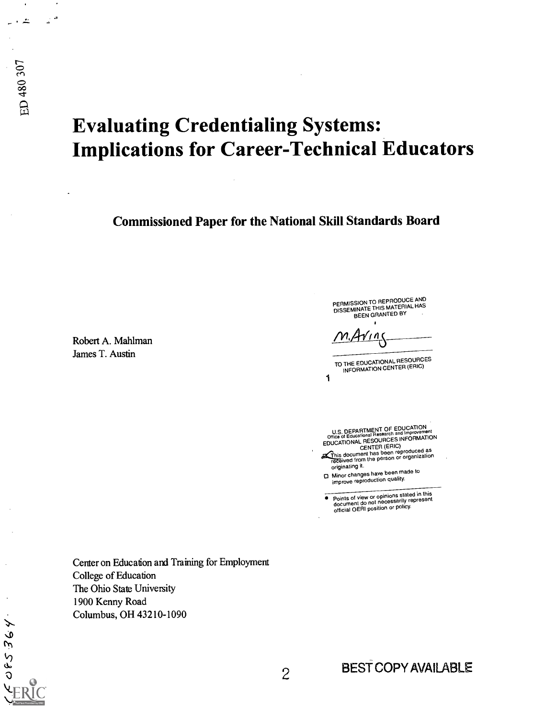# Evaluating Credentialing Systems: Implications for Career-Technical Educators

Commissioned Paper for the National Skill Standards Board

Robert A. Mahlman James T. Austin

 $\mathbf{a}$ 

تنداء

ED 480 307

 $\circ$ 

 $\mathbf{d}$ 

PERMISSION TO REPRODUCE AND<br>DISSEMINATE THIS MATERIAL HAS<br>BEEN GRANTED BY

/ ۱ (

1 TO THE EDUCATIONALRESOURCES INFORMATION CENTER (ERIC)

U.S. DEPARTMENT OF EDUCATION<br>Office of Educational Research and Improvement<br>OF S. INFORMATION EDUCATIONAL RESOURCES INFORMATION

This document has been reproduced as<br>received from the person or organization originating it.

CI Minor changes have been made to improve reproduction quality.

Points of view or opinions stated in this document do not necessarily represent official OERI position or policy.

Center on Education and Training for Employment College of Education The Ohio State University 1900 Kenny Road Columbus, OH 43210-1090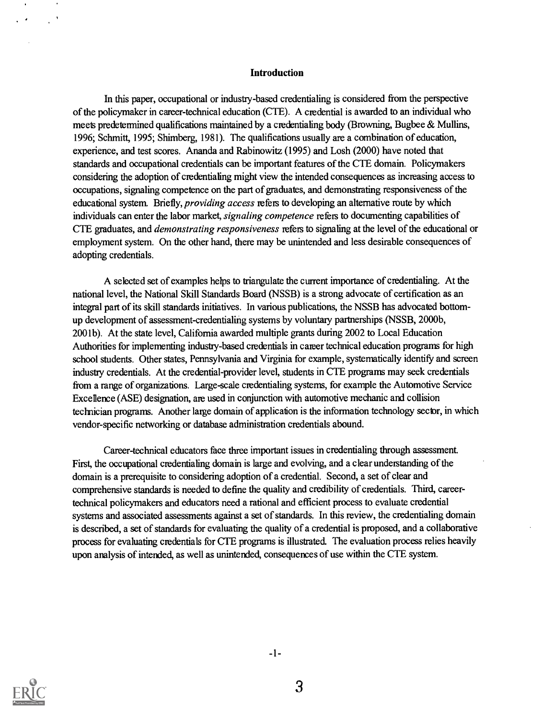#### Introduction

In this paper, occupational or industry-based credentialing is considered from the perspective of the policymaker in career-technical education (CM). A credential is awarded to an individual who meets predetermined qualifications maintained by a credentialing body (Browning, Bugbee & Mullins, 1996; Schmitt, 1995; Shimberg, 1981). The qualifications usually are a combination of education, experience, and test scores. Ananda and Rabinowitz (1995) and Losh (2000) have noted that standards and occupational credentials can be important features of the CTE domain. Policymakers considering the adoption of credentialing might view the intended consequences as increasing access to occupations, signaling competence on the part of graduates, and demonstrating responsiveness of the educational system. Briefly, *providing access* refers to developing an alternative route by which individuals can enter the labor market, signaling competence refers to documenting capabilities of CTE graduates, and *demonstrating responsiveness* refers to signaling at the level of the educational or employment system. On the other hand, there may be unintended and less desirable consequences of adopting credentials.

A selected set of examples helps to triangulate the current importance of credentialing. At the national level, the National Skill Standards Board (NSSB) is a strong advocate of certification as an integral part of its skill standards initiatives. In various publications, the NSSB has advocated bottomup development of assessment-credentialing systems by voluntary partnerships (NSSB, 2000b, 2001b). At the state level, California awarded multiple grants during 2002 to Local Education Authorities for implementing industry-based credentials in career technical education programs for high school students. Other states, Pennsylvania and Virginia for example, systematically identify and screen industry credentials. At the credential-provider level, students in CTE programs may seek credentials from a range of organizations. Large-scale credentialing systems, for example the Automotive Service Excellence (ASE) designation, are used in conjunction with automotive mechanic and collision technician programs. Another large domain of application is the information technology secbr, in which vendor-specific networking or database administration credentials abound.

Career-technical educators face three important issues in credentialing through assessment. First, the occupational credentialing domain is large and evolving, and a clear understanding of the domain is a prerequisite to considering adoption of a credential. Second, a set of clear and comprehensive standards is needed to define the quality and credibility of credentials. Third, careertechnical policymakers and educators need a rational and efficient process to evaluate credential systems and associated assessments against a set of standards. In this review, the credentialing domain is described, a set of standards for evaluating the quality of a credential is proposed, and a collaborative process for evaluating credentials for CTE programs is illustrated. The evaluation process relies heavily upon analysis of intended, as well as unintended, consequences of use within the CM system.



 $\alpha$  $\mathcal{C}^{\mathcal{A}}$ 

3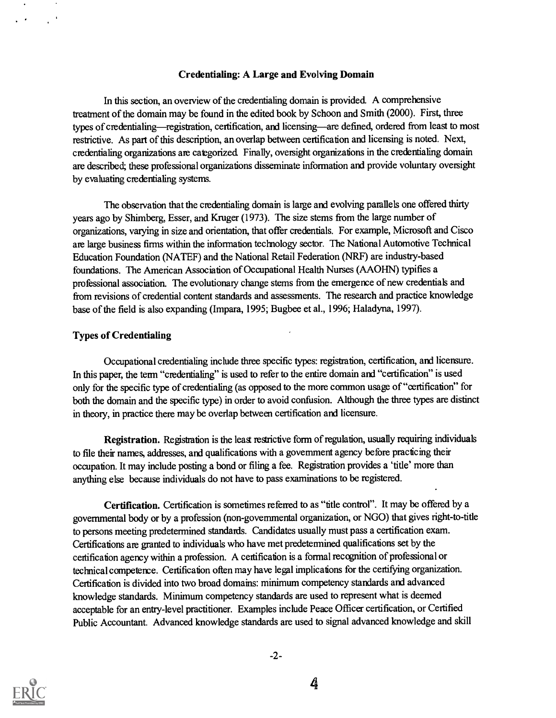### Credentialing: A Large and Evolving Domain

In this section, an overview of the credentialing domain is provided. A comprehensive treatment of the domain may be found in the edited book by Schoon and Smith (2000). First, three types of credentialing—registration, certification, and licensing—are defined, ordered from least to most restrictive. As part of this description, an overlap between certification and licensing is noted. Next, credentialing organizations are categorized Finally, oversight organizations in the credentialing domain are described; these professional organizations disseminate information and provide voluntary oversight by evaluating credentialing systems.

The observation that the credentialing domain is large and evolving parallels one offered thirty years ago by Shimberg, Esser, and Kruger (1973). The size stems from the large number of organizations, varying in size and orientation, that offer credentials. For example, Microsoft and Cisco are large business firms within the information technology sector. The National Automotive Technical Education Foundation (NATEF) and the National Retail Federation (NRF) are industry-based foundations. The American Association of Occupational Health Nurses (AAOHN) typifies a professional association. The evolutionary change stems from the emergence of new credentials and from revisions of credential content standards and assessments. The research and practice knowledge base of the field is also expanding (Impara, 1995; Bugbee et al., 1996; Haladyna, 1997).

## **Types of Credentialing**

 $\sim$ 

 $\sim 10^{-4}$ 

 $\mathcal{L}^{\mathcal{A}}$ 

Occupational credentialing include three specific types: registration, certification, and licensure. In this paper, the term "credentialing" is used to refer to the entire domain and "certification" is used only for the specific type of credentialing (as opposed to the more common usage of "certification" for both the domain and the specific type) in order to avoid confusion. Although the three types are distinct in theory, in practice there may be overlap between certification and licensure.

Registration. Registration is the least restrictive form of regulation, usually requiring individuals to file their names, addresses, and qualifications with a government agency before practicing their occupation. It may include posting a bond or filing a fee. Registration provides a 'title' more than anything else because individuals do not have to pass examinations to be registered.

Certification. Certification is sometimes refeired to as "title control". It may be offered by a governmental body or by a profession (non-governmental organization, or NGO) that gives right-to-title to persons meeting predetermined standards. Candidates usually must pass a certification exam. Certifications are granted to individuals who have met predetermined qualifications set by the certification agency within a profession. A certification is a formal recognition of professional or technical competence. Certification often may have legil implications for the certifying organization. Certification is divided into two broad domains: minimum competency standards and advanced knowledge standards. Minimum competency standards are used to represent what is deemed acceptable for an entry-level practitioner. Examples include Peace Officer certification, or Certified Public Accountant. Advanced knowledge standards are used to signal advanced knowledge and skill

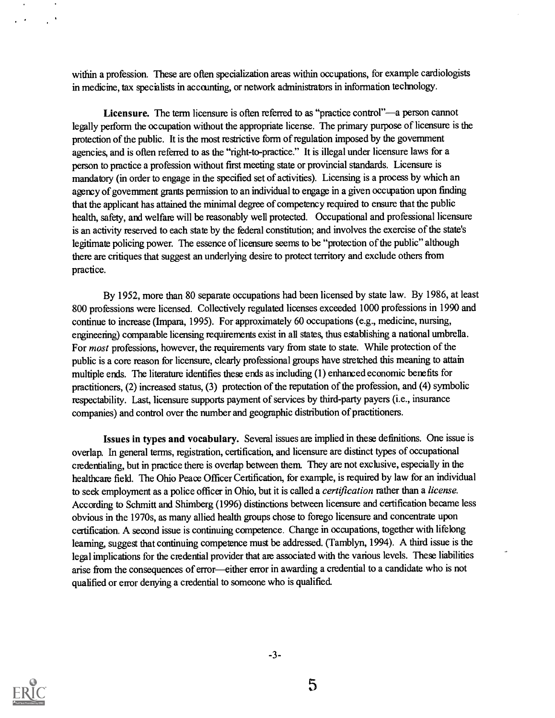within a profession. These are often specialization areas within occupations, for example cardiologists in medicine, tax specialists in accounting, or network administrators in information technology.

Licensure. The term licensure is often referred to as "practice control"—a person cannot legally perform the occupation without the appropriate license. The primary purpose of licensure is the protection of the public. It is the most restrictive form of regulation imposed by the government agencies, and is often referred to as the "right-to-practice." It is illegal under licensure laws for a person to practice a profession without first meeting state or provincial standards. Licensure is mandatory (in order to engage in the specified set of activities). Licensing is a process by which an agency of government grants permission to an individual to engage in a given occupation upon finding that the applicant has attained the minimal degree of competency required to ensure that the public health, safety, and welfare will be reasonably well protected. Occupational and professional licensure is an activity reserved to each state by the federal constitution; and involves the exercise of the state's legitimate policing power. The essence of licensure seems to be "protection of the public" although there are critiques that suggest an underlying desire to protect territory and exclude others from practice.

By 1952, more than 80 separate occupations had been licensed by state law. By 1986, at least 800 professions were licensed. Collectively regulated licenses exceeded 1000 professions in 1990 and continue to increase (Impara, 1995). For approximately 60 occupations (e.g., medicine, nursing, engineering) comparable licensing requirements exist in all states, thus establishing a national umbrella. For most professions, however, the requirements vary from state to state. While protection of the public is a core reason for licensure, clearly professional groups have stretched this meaning to attain multiple ends. The literature identifies these ends as including (1) enhanced economic benefits for practitioners, (2) increased status, (3) protection of the reputation of the profession, and (4) symbolic respectability. Last, licensure supports payment of services by third-party payers (i.e., insurance companies) and control over the number and geographic distribution of practitioners.

Issues in types and vocabulary. Several issues are implied in thew definitions. One issue is overlap. In general terms, registration, certification, and licensure are distinct types of occupational credentialing, but in practice there is overlap between them. They are not exclusive, especially in the healthcare field. The Ohio Peace Officer Certification, for example, is required by law for an individual to seek employment as a police officer in Ohio, but it is called a *certification* rather than a license. According to Schmitt and Shimberg (1996) distinctions between licensure and certification became less obvious in the 1970s, as many allied health groups chose to forego licensure and concentrate upon certification. A second issue is continuing competence. Change in occupations, together with lifelong learning, suggest that continuing competence must be addressed. (Tamblyn, 1994). A third issue is the legal implications for the credential provider that are associated with the various levels. These liabilities arise from the consequences of error-either error in awarding a credential to a candidate who is not qualified or error denying a credential to someone who is qualified.



 $\mathcal{L}^{\mathcal{L}}$ 

 $-3-$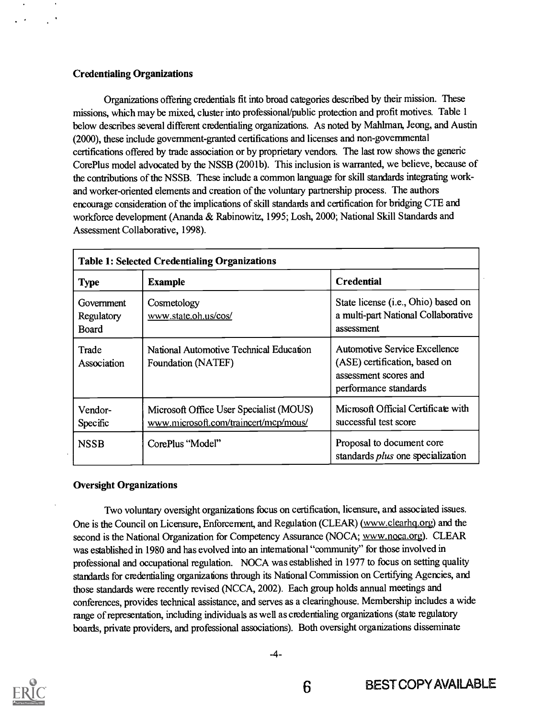## Credentialing Organizations

Organizations offering credentials fit into broad cagories described by their mission. These missions, which may be mixed, cluster into professional/public protection and profit motives. Table 1 below describes several different credentialing organizations. As noted by Mahlman, Jeong, and Austin (2000), these include government-granted certifications and licenses and non-governmental certifications offered by trade association or by proprietary vendors. The last row shows the generic Core Plus model advocated by the NSSB (2001b). This inclusion is warranted, we believe, because of the contributions of the NSSB. These include a common language for skill standards integrating workand worker-oriented elements and creation of the voluntary partnership process. The authors encourage consideration of the implications of skill standards and certification for bridging CTE and workforce development (Ananda & Rabinowitz, 1995; Losh, 2000; National Skill Standards and Assessment Collaborative, 1998).

| <b>Table 1: Selected Credentialing Organizations</b> |                                                                                  |                                                                                                                  |
|------------------------------------------------------|----------------------------------------------------------------------------------|------------------------------------------------------------------------------------------------------------------|
| <b>Type</b>                                          | <b>Example</b>                                                                   | <b>Credential</b>                                                                                                |
| Government<br>Regulatory<br>Board                    | Cosmetology<br>www.state.oh.us/cos/                                              | State license (i.e., Ohio) based on<br>a multi-part National Collaborative<br>assessment                         |
| Trade<br>Association                                 | National Automotive Technical Education<br>Foundation (NATEF)                    | Automotive Service Excellence<br>(ASE) certification, based on<br>assessment scores and<br>performance standards |
| Vendor-<br>Specific                                  | Microsoft Office User Specialist (MOUS)<br>www.microsoft.com/traincert/mcp/mous/ | Microsoft Official Certificate with<br>successful test score                                                     |
| <b>NSSB</b>                                          | CorePlus "Model"                                                                 | Proposal to document core<br>standards plus one specialization                                                   |

## Oversight Organizations

Two voluntary oversight organizations focus on certification, licensure, and associated issues. One is the Council on Licensure, Enforcement, and Regulation (CLEAR) (www.clearhq.org) and the second is the National Organization for Competency Assurance (NOCA; www.noca.org). CLEAR was established in 1980 and has evolved into an international "community" for those involved in professional and occupational regulation. NOCA was established in 1977 to focus on setting quality standards for credentialing organizations through its National Commission on Certifying Agencies, and those standards were recently revised (NCCA, 2002). Each group holds annual meetings and conferences, provides technical assistance, and serves as a clearinghouse. Membership includes a wide range of representation, including individuals as well as credentialing organizations (state regulatory boards, private providers, and professional associations). Both oversight organizations disseminate



-4-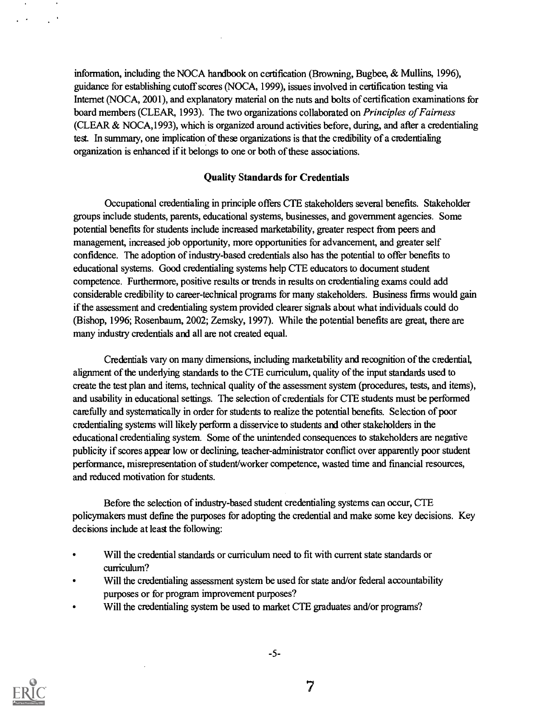information, including the NOCA handbook on certification (Browning, Bugbee, & Mullins, 1996), guidance for establishing cutoff scores (NOCA, 1999), issues involved in certification testing via Internet (NOCA, 2001), and explanatory material on the nuts and bolts of certification examinations for board members (CLEAR, 1993). The two organizations collaborated on *Principles of Fairness* (CLEAR & NOCA,1993), which is organized around activities before, during, and after a credentialing test. In summary, one implication of these organizations is that the credibility of a credentialing organization is enhanced if it belongs to one or both of these associations.

#### Quality Standards for Credentials

Occupational credentialing in principle offers CTE stakeholders several benefits. Stakeholder groups include students, parents, educational systems, businesses, and government agencies. Some potential benefits for students include increased marketability, greater respect from peers and management, increased job opportunity, more opportunities for advancement, and greater self confidence. The adoption of industry-based credentials also has the potential to offer benefits to educational systems. Good credentialing systems help CIE educators to document student competence. Furthermore, positive results or trends in results on credentialing exams could add considerable credibility to career-technical programs for many stakeholders. Business firms would gain if the assessment and credentialing system provided clearer signals about what individuals could do (Bishop, 1996; Rosenbaum, 2002; Zemsky, 1997). While the potential benefits are great, there are many industry credentials and all are not created equal.

Credentials vary on many dimensions, including marketability and recognition of the credential, alignment of the underlying standards to the CTE curriculum, quality of the input standards used to create the test plan and items, technical quality of the assessment system (procedures, tests, and items), and usability in educational settings. The selection of credentials for CIE students must be performed carefully and systematically in order for students to realize the potential benefits. Selection of poor credentialing systems will likely perform a disservice to students and other stakeholders in the educational credentialing system. Some of the unintended consequences to stakeholders are negative publicity if scores appear low or declining, teacher-administrator conflict over apparently poor student performance, misrepresentation of student/worker competence, wasted time and financial resources, and reduced motivation for students.

Before the selection of industry-based student credentialing systems can occur, CTE policymakers must define the purposes for adopting the credential and make some key decisions. Key decisions include at least the following:

- Will the credential standards or curriculum need to fit with current state standards or curriculum?
- Will the credentialing assessment system be used for state and/or federal accountability purposes or for program improvement purposes?
- Will the credentialing system be used to market CTE graduates and/or programs?



 $\sim$  $\mathcal{L}^{(1)}$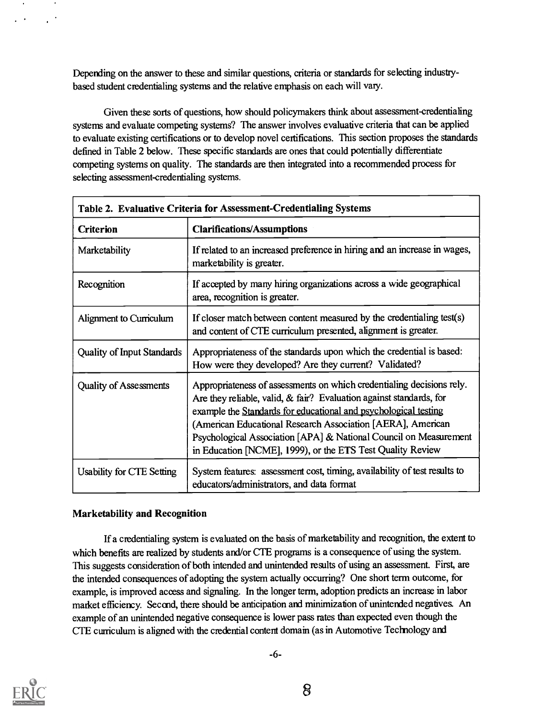Depending on the answer to these and similar questions, criteria or standards for selecting industrybased student credentialing systems and the relative emphasis on each will vary.

Given these sorts of questions, how should policymakers think about assessment-credentialing systems and evaluate competing systems? The answer involves evaluative criteria that can be applied to evaluate existing certifications or to develop novel certifications. This section proposes the standards defined in Table 2 below. These specific standards are ones that could potentially differentiate competing systems on quality. The standards are then integrated into a recommended process for selecting assessment-credentialing systems.

| Table 2. Evaluative Criteria for Assessment-Credentialing Systems |                                                                                                                                                                                                                                                                                                                                                                                                                      |  |
|-------------------------------------------------------------------|----------------------------------------------------------------------------------------------------------------------------------------------------------------------------------------------------------------------------------------------------------------------------------------------------------------------------------------------------------------------------------------------------------------------|--|
| <b>Criterion</b>                                                  | <b>Clarifications/Assumptions</b>                                                                                                                                                                                                                                                                                                                                                                                    |  |
| Marketability                                                     | If related to an increased preference in hiring and an increase in wages,<br>marketability is greater.                                                                                                                                                                                                                                                                                                               |  |
| Recognition                                                       | If accepted by many hiring organizations across a wide geographical<br>area, recognition is greater.                                                                                                                                                                                                                                                                                                                 |  |
| Alignment to Curriculum                                           | If closer match between content measured by the credentialing test(s)<br>and content of CTE curriculum presented, alignment is greater.                                                                                                                                                                                                                                                                              |  |
| <b>Quality of Input Standards</b>                                 | Appropriateness of the standards upon which the credential is based:<br>How were they developed? Are they current? Validated?                                                                                                                                                                                                                                                                                        |  |
| <b>Quality of Assessments</b>                                     | Appropriateness of assessments on which credentialing decisions rely.<br>Are they reliable, valid, $\&$ fair? Evaluation against standards, for<br>example the Standards for educational and psychological testing<br>(American Educational Research Association [AERA], American<br>Psychological Association [APA] & National Council on Measurement<br>in Education [NCME], 1999), or the ETS Test Quality Review |  |
| Usability for CTE Setting                                         | System features: assessment cost, timing, availability of test results to<br>educators/administrators, and data format                                                                                                                                                                                                                                                                                               |  |

## Marketability and Recognition

If a credentialing system is evaluated on the basis of marketability and recognition, the extent to which benefits are realized by students and/or CTE programs is a consequence of using the system. This suggests consideration of both intended and unintended results of using an assessment. First, are the intended consequences of adopting the system actually occurring? One short term outcome, for example, is improved access and signaling. In the longer term, adoption predicts an increase in labor market efficiency. Secard, there should be anticipation and minimization of unintended negatives. An example of an unintended negative consequence is lower pass rates than expected even though the CTE curriculum is aligned with the credential content domain (as in Automotive Techrology and

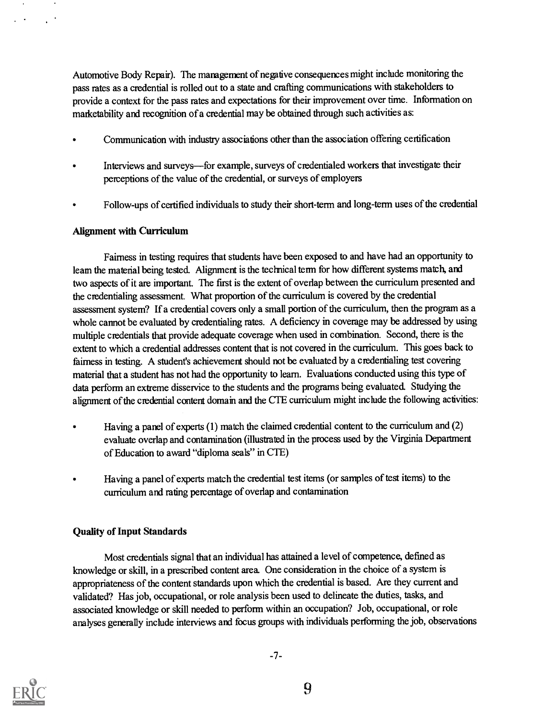Automotive Body Repair). The mamgement of negative consequences might include monitoring the pass rates as a credential is rolled out to a state and crafting communications with stakeholders to provide a context for the pass rates and expectations for their improvement over time. Information on marketability and recognition of a credential may be obtained through such activities as:

- Communication with industry associations other than the association offering certification
- Interviews and surveys—for example, surveys of credentialed workers that investigate their perceptions of the value of the credential, or surveys of employers
- Follow-ups of certified individuals to study their short-term and long-term uses of the credential

## Alignment with Curriculum

Fairness in testing requires that students have been exposed to and have had an opportunity to leam the material being tested. Alignment is the techical term for how different systems match, and two aspects of it are important. The first is the extent of overlap between the curriculum presented and the ciedentialing assessment. What proportion of the curriculum is covered by the credential assessment system? If a credential covers only a small portion of the curriculum, then the program as a whole cannot be evaluated by credentialing rates. A deficiency in coverage may be addressed by using multiple credentials that provide adequate coverage when used in combination. Second, there is the extent to which a credential addresses content that is not covered in the curriculum. This goes back to fairness in testing. A student's achievement should not be evaluated by a credentialing test covering material that a student has not had the opportunity to learn. Evaluations conducted using this type of data perform an extreme disservice to the students and the programs being evaluated. Studying the alignment of the credential content domain and the CTE curriculum might include the following activities:

- Having a panel of experts (1) match the claimed credential content to the curriculum and (2) evaluate overlap and contamination (illustrated in the process used by the Virginia Department of Education to award "diploma seals" in CTE)
- Having a panel of experts match the credential test items (or samples of test items) to the curriculum and rating percentage of overlap and contamination

## Quality of Input Standards

Most credentials signal that an individual has attained a level of competence, defined as knowledge or skill, in a prescribed content area. One consideration in the choice of a system is appropriateness of the content standards upon which the credential is based. Are they current and validated? Has job, occupational, or role analysis been used to delineate the duties, tasks, and associated knowledge or skill needed to perform within an occupation? Job, occupational, or role analyses generally include interviews and focus groups with individuals performing the job, observations



 $\mathbb{R}^{\mathbb{Z}}$ 

 $\ddot{\phantom{1}}$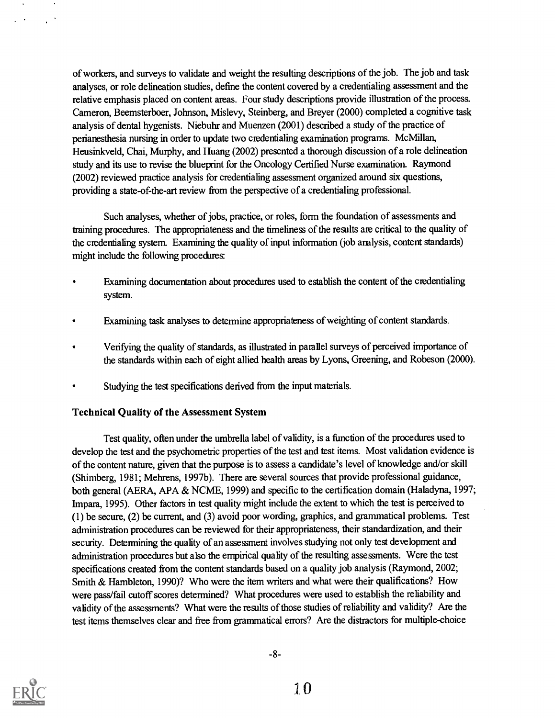of workers, and surveys to validate and weight the resulting descriptions of the job. The job and task analyses, or role delineation studies, define the content covered by a credentialing assessment and the relative emphasis placed on content areas. Four study descriptions provide illustration of the process. Cameron, Beemsterboer, Johnson, Mislevy, Steinberg, and Breyer (2000) completed a cognitive task analysis of dental hygenists. Niebuhr and Muenzen (2001) described a study of the practice of perianesthesia nursing in order to update two credentialing examination programs. McMillan, Heusinkveld, Chai, Murphy, and Huang (2002) presented a thorough discussion of a role delineation study and its use to revise the blueprint for the Oncology Certified Nurse examination. Raymond (2002) reviewed practice analysis for credentialing assessment organized around six questions, providing a state-of-the-art review from the perspective of a credentialing professional.

Such analyses, whether of jobs, practice, or roles, form the foundation of assessments and training procedures. The appropriateness and the timeliness of the results are critical to the quality of the credentialing system. Examining the quality of input information (job analysis, content standanis) might include the following procedures:

- Examining documentation about procedures used to establish the content of the credentialing system.
- Examining task analyses to determine appropriateness of weighting of content standards.
- Verifying the quality of standards, as illustrated in parallel surveys of perceived importance of the standards within each of eight allied health areas by Lyons, Greening, and Robeson (2000).
- Studying the test specifications derived from the input materials.

## Technical Quality of the Assessment System

Test quality, often under the umbrella label of validity, is a function of the procedures used to develop the test and the psychometric properties of the test and test items. Most validation evidence is of the content nature, given that the purpose is to assess a candidate's level of knowledge and/or skill (Shimberg, 1981; Mehrens, 1997b). There are several sources that provide professional guidance, both general (AERA, APA & NCME, 1999) and specific to the certification domain (Haladyna, 1997; Impara, 1995). Other factors in test quality might include the extent to which the test is perceived to (1) be secure, (2) be current, and (3) avoid poor wording, graphics, and grammatical problems. Test administration procedures can be reviewed for their appropriateness, their standardization, and their security. Determining the quality of an assessment involves studying not only test development and administration procedures but also the empirical quality of the resulting assessments. Were the test specifications created from the content standards based on a quality job analysis (Raymond, 2002; Smith & Hambleton, 1990)? Who were the item writers and what were their qualifications? How were pass/fail cutoff scores determined? What procedures were used to establish the reliability and validity of the assessments? What were the results of those studies of reliability and validity? Are the test items themselves clear and free from grammatical errors? Are the distractors for multiple-choice



 $\bullet$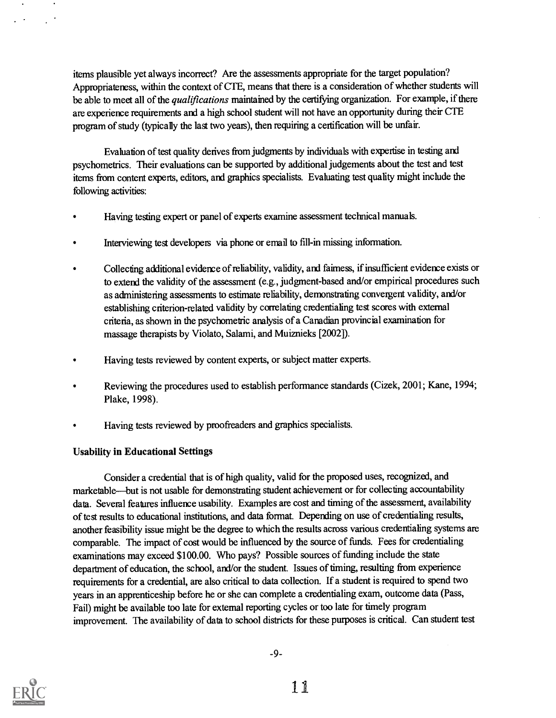items plausible yet always incorrect? Are the assessments appropriate for the target population? Appropriateness, within the context of CTE, means that there is a consideration of whether students will be able to meet all of the *qualifications* maintained by the certifying organization. For example, if there are experience requirements and a high school student will not have an opportunity during their CTE program of study (typically the last two years), then requiring a certification will be unfair.

Evaluation of test quality derives from judgments by individuals with expertise in testing and psychometrics. Their evaluations can be supported by additional judgements about the test and test items from content experts, editors, and graphics specialists. Evaluating test quality might include the following activities:

- Having testing expert or panel of experts examine assessment technical manuals.
- Interviewing test developers via phone or email to fill-in missing information.
- Collecting additional evidence of reliability, validity, and fairness, if insufficient evidence exists or to extend the validity of the assessment (e.g., judgment-based and/or empirical procedures such as administering assessments to estimate reliability, demonstrating convergent validity, and/or establishing criterion-related validity by correlating credentialing test scores with external criteria, as shown in the psychometric analysis of a Canadian provincial examination for massage therapists by Violato, Salami, and Muiznieks [2002]).
- Having tests reviewed by content experts, or subject matter experts.
- Reviewing the procedures used to establish performance standards (Cizek, 2001; Kane, 1994; Plake, 1998).
- Having tests reviewed by proofreaders and graphics specialists.

## Usability in Educational Settings

Consider a credential that is of high quality, valid for the proposed uses, recognized, and marketable—but is not usable for demonstrating student achievement or for collecting accountability data. Several features influence usability. Examples are cost and timing of the assessment, availability of test results to educational institutions, and data format. Depending on use of credentialing results, another feasibility issue might be the degree to which the results across various credentialing systems are comparable. The impact of cost would be influenced by the source of funds. Fees for credentialing examinations may exceed \$100.00. Who pays? Possible sources of funding include the state department of education, the school, and/or the student. Issues of timing, resulting from experience requirements for a credential, are also critical to data collection. If a student is required to spend two years in an apprenticeship before he or she can complete a credentialing exam, outcome data (Pass, Fail) might be available too late for external reporting cycles or too late for timely program improvement. The availability of data to school districts for these purposes is critical. Can student test

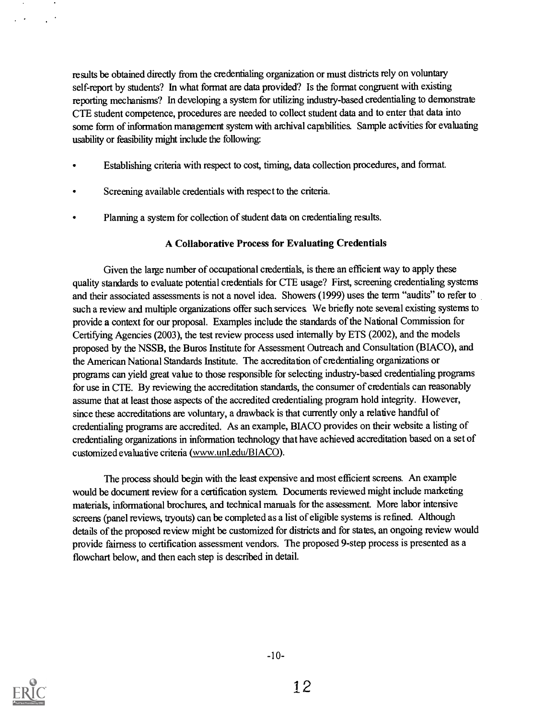results be obtained directly from the credentialing organization or must districts rely on voluntary self-report by students? In what format are data provided? Is the format congruent with existing reporting mechanisms? In developing a system for utilizing industry-based credentialing to demonstrate CTE student competence, procedures are needed to collect student data and to enter that data into some form of information management system with archival capabilities. Sample activities for evaluating usability or feasibility might include the following:

- Establishing criteria with respect to cost, timing, data collection procedures, and format.
- Screening available credentials with respect to the criteria.
- Planning a system for collection of student data on credentialing results.

## A Collaborative Process for Evaluating Credentials

Given the large number of occupational credentials, is there an efficient way to apply these quality standards to evaluate potential credentials for CTE usage? First, screening credentialing systems and their associated assessments is not a novel idea. Showers (1999) uses the term "audits" to refer to such a review and multiple organizations offer such services We briefly note several existing systems to provide a context for our proposal. Examples include the standards of the National Commission for Certifying Agencies (2003), the test review process used internally by ETS (2002), and the models proposed by the NSSB, the Buros Institute for Assessment Outreach and Consultation (BIACO), and the American National Standards Institute. The accreditation of credentialing organizations or programs can yield geat value to those responsible for selecting industry-based credentialing programs for use in CTE. By reviewing the accreditation standards, the consumer of credentials can reasonably assume that at least those aspects of the accredited credentialing program hold integrity. However, since these accreditations are voluntary, a drawback is that currently only a relative handful of credentialing programs are accredited. As an example, BIACO provides on their website a listing of credentialing organizations in information technology that have achieved accreditation based on a set of customized evaluative criteria (www.unl.edu/BIACO).

The process should begin with the least expensive and most efficient screens. An example would be document review for a certification system. Documents reviewed might include marketing materials, informational brochures, and technical manuals for the assessment More labor intensive screens (panel reviews, tryouts) can be completed as a list of eligible systems is refined. Although details of the proposed review might be customized for districts and for stares, an ongoing review would provide fairness to certification assessment vendors. The proposed 9-step process is presented as a flowchart below, and then each step is described in detail.



 $\ddot{\phantom{1}}$ 

 $\mathcal{L}^{\mathcal{L}}$  .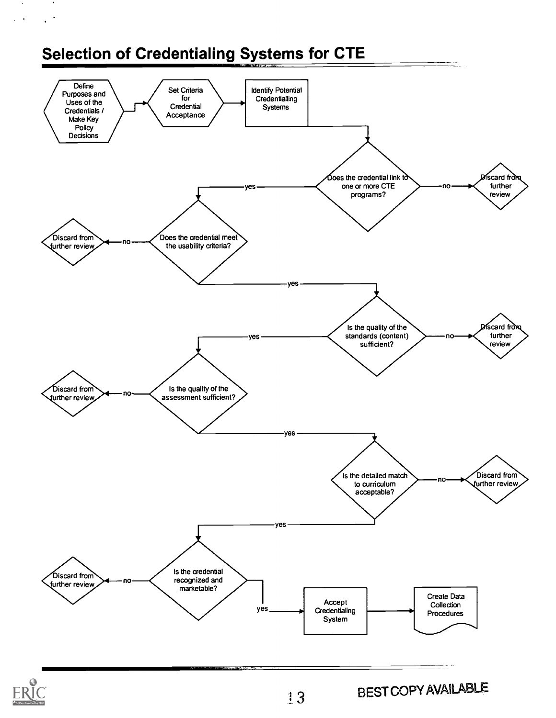## Selection of Credentialing Systems for CTE

 $\mathcal{A}$  $\ddot{\phantom{a}}$ 

 $\mathbf{r}$ 



13

BEST COPY AVAILABLE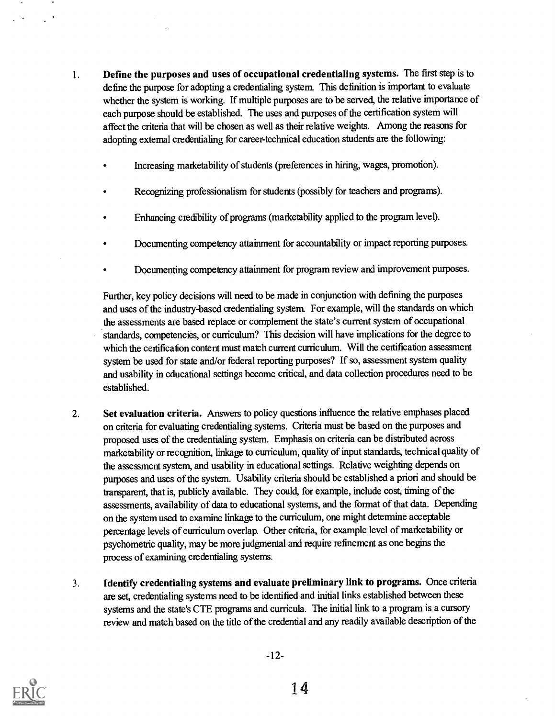- 1. Define the purposes and uses of occupational credentialing systems. The first step is to define the purpose for adopting a credentialing system. This definition is important to evaluate whether the system is working. If multiple purposes are to be served, the relative importance of each purpose should be established. The uses and purposes of the certification system will affect the criteria that will be chosen as well as their relative weights. Among the reasons for adopting extemal credentialing for career-technical education students are the following:
	- Increasing marketability of students (preferences in hiring, wages, promotion).
	- Recognizing professionalism for students (possibly for teachers and programs).
	- Enhancing credibility of programs (marketability applied to the program level).
	- Documenting competency attainment for accountability or impact reporting purposes.
	- Documenting competency attainment for program review and improvement purposes.

Further, key policy decisions will need to be made in conjunction with defining the purposes and uses of the industry-based credentialing system. For example, will the standards on which the assessments are based replace or complement the state's current system of occupational standards, competencies, or curriculum? This decision will have implications for the degree to which the certification content must match current curriculum. Will the certification assessment system be used for state and/or federal reporting purposes? If so, assessment system quality and usability in educational settings become critical, and data collection procedures need to be established.

- 2. Set evaluation criteria. Answers to policy questions influence the relative emphases placed on criteria for evaluating credentialing systems. Criteria must be based on the purposes and proposed uses of the credentialing system. Emphasis on criteria can be distributed across marketability or recognition, linkage to curriculum, quality of input standards, technical quality of the assessment system, and usability in educational settings. Relative weighting depends on purposes and uses of the system. Usability criteria should be established a priori and should be transparent, that is, publicly available. They could, for example, include cost, timing of the assessments, availability of data to educational systems, and the format of that data. Depending on the system used to examine linkage to the curriculum, one might determine acceptable percentage levels of curriculum overlap. Other criteria, for example level of marketability or psychometric quality, may be more judgmental and require refinement as one begins the process of examining credentialing systems.
- 3. Identify credentialing systems and evaluate preliminary link to programs. Once criteria are set, credentialing systems need to be identified and initial links established between these systems and the state's CTE programs and curricula. The initial link to a program is a cursory review and match based on the title of the credential and any readily available description of the

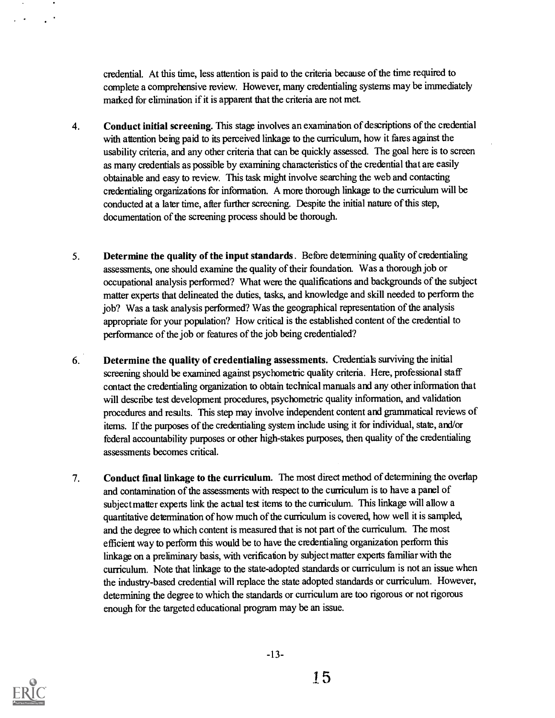credential. At this time, less attention is paid to the criteria because of the time required to complete a comprehensive review. However, many credentialing systems may be immediately marked for elimination if it is apparent that the criteria are not met.

- 4. Conduct initial screening. This stage involves an examination of descriptions of the credential with attention being paid to its perceived linkage to the curriculum, how it fares against the usability criteria, and any other criteria that can be quickly assessed. The goal here is to screen as many credentials as possible by examining characteristics of the credential that are easily obtainable and easy to review. This task might involve searching the web and contacting credentialing organizations for information. A more thorough linkage to the curriculum will be conducted at a later time, after further screening. Despite the initial nature of this step, documentation of the screening process should be thorough.
- 5. Determine the quality of the input standards . Before dewnnining quality of credentialing assessments, one should examine the quality of their foundation. Was a thorough job or occupational analysis performed? What were the qualifications and backgrounds of the subject matter experts that delineated the duties, tasks, and knowledge and skill needed to perform the job? Was a task analysis performed? Was the geographical representation of the analysis appropriate for your population? How critical is the established content of the credential to performance of the job or features of the job being credentialed?
- 6. Determine the quality of credentialing assessments. Credentials surviving the initial screening should be examined against psychometric quality criteria. Here, professional staff contact the credentialing organization to obtain technical manuals and any other information that will describe test development procedures, psychometric quality information, and validation procedures and results. This step may involve independent content and grammatical reviews of items. If the purposes of the credentialing system include using it for individual, state, and/or federal accountability purposes or other high-stakes purposes, then quality of the credentialing assessments becomes critical.
- 7. Conduct final linkage to the curriculum. The most direct method of determining the overlap and contamination of the assessments with respect to the curriculum is to have a panel of subject matter experts link the actual test items to the curriculum. This linkage will allow a quantitative determination of how much of the cuniculum is covered, how well it is sampled, and the degree to which content is measured that is not part of the curriculum. The most efficient way to perform this would be to have the credentialing organization perform this linkage on a preliminary basis, with verification by subject matter experts familiar with the curriculum. Note that linkage to the state-adopted standards or curriculum is not an issue when the industry-based credential will replace the state adopted standards or curriculum. However, determining the degree to which the standards or curriculum are too rigorous or not rigorous enough for the targeted educational program may be an issue.

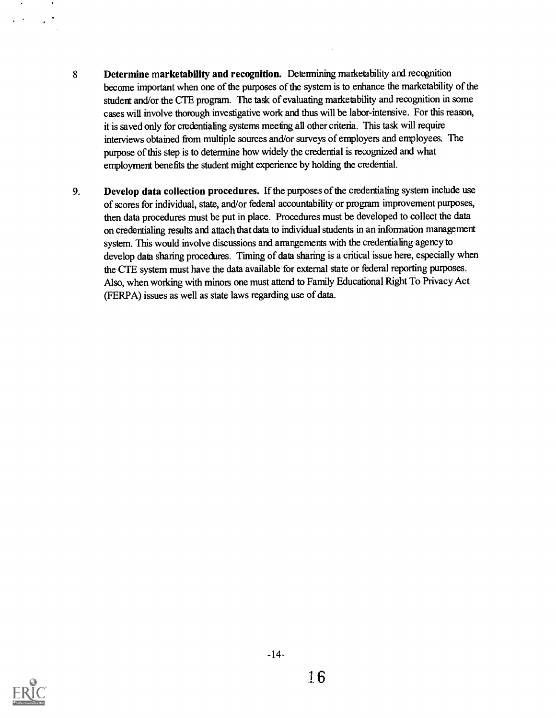- 8 Determine marketability and recognition. Determining marketability and recognition become important when one of the purposes of the system is to enhance the marketability of the student and/or the CTE program. The task of evaluating marketability and recognition in some cases will involve thorough investigative work and thus will be labor-intensive. For this reason, it is saved only for credentialing systems meeting all other criteria. This task will require interviews obtained from multiple sources and/or surveys of employers and employees. The purpose of this step is to determine how widely the credential is recognized and what employment benefits the student might experience by holding the credential.
- 9. Develop data collection procedures. If the purposes of the credentialing system include use of scores for individual, state, and/or federal accountability or program improvement purposes, then data procedures must be put in place. Procedures must be developed to collect the data on credentialing results and attach that data to individual students in an information management system. This would involve discussions and arrangements with the credentiafing agency to develop data sharing procedures. Timing of data sharing is a critical issue here, especially when the CTE system must have the data available for external state or federal reporting purposes. Also, when working with minors one must attend to Family Educational Right To Privacy Act (FERPA) issues as well as state laws regarding use of data.



 $-14-$ 

16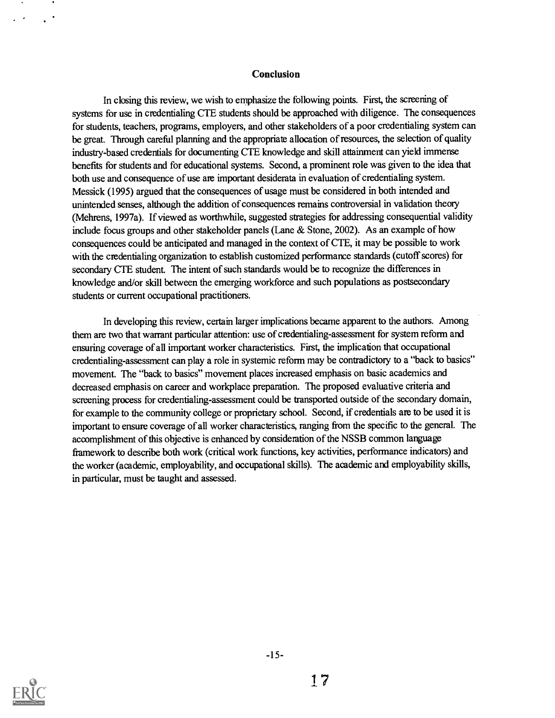#### Conclusion

In closing this review, we wish to emphasize the following points. First, the screening of systems for use in credentialing CTE students should be approached with diligence. The consequences for students, teachers, programs, employers, and other stakeholders of a poor credentialing system can be great. Through careful planning and the appropriate allocation of resources, the selection of quality industry-based credentials for documenting CTE knowledge and skill attainment can yield immense benefits for students and for educational systems. Second, a prominent role was given to the idea that both use and consequence of use are important desiderata in evaluation of credentialing system. Messick (1995) argued that the consequences of usage must be considered in both intended and unintended senses, although the addition of consequences remains controversial in validation theory (Mehrens, 1997a). If viewed as worthwhile, suggested strategies for addressing consequential validity include focus groups and other stakeholder panels (Lane & Stone, 2002). As an example of how consequences could be anticipated and managed in the context of CTE, it may be possible to work with the credentialing organization to establish customized performance standards (cutoff scores) for secondary CTE student. The intent of such standards would be to recognize the differences in knowledge and/or skill between the emerging workforce and such populations as postsecondary students or current occupational practitioners.

In developing this review, certain larger implications became apparent to the authors. Among them are two that warrant particular attention: use of credentialing-assessment for system reform and ensuring coverage of all important worker characteristics. First, the implication that occupational credentialing-assessment can play a role in systemic reform may be contradictory to a "back to basics" movement. The "back to basics" movement places increased emphasis on basic academics and decreased emphasis on career and workplace preparation. The proposed evaluative criteria and screening process for credentialing-assessment could be transported outside of the secondary domain, for example to the community college or proprietary school. Second, if credentials are to be used it is important to ensure coverage of all worker characteristics, ranging from the specific to the general. The accomplishment of this objective is enhanced by consideration of the NSSB common language framework to describe both work (critical work functions, key activities, performance indicators) and the worker (academic, employability, and occupational skills). The academic and employability skills, in particular, must be taught and assessed.

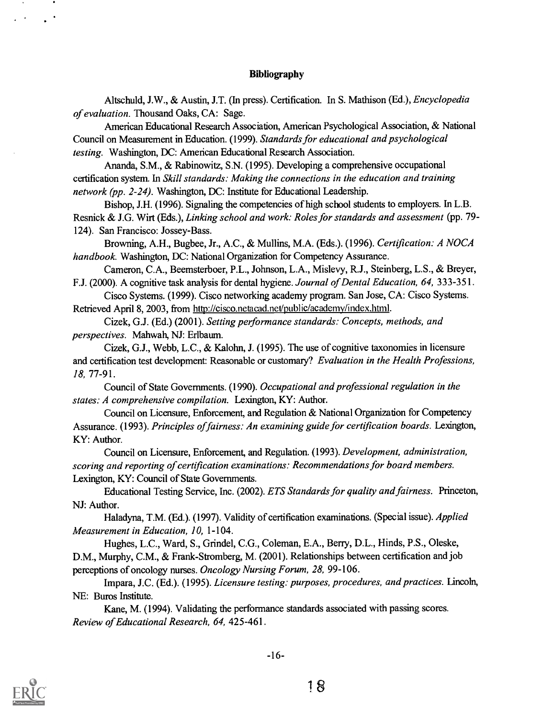#### Bibliography

Altschuld, J.W., & Austin, J.T. (In press). Certification. In S. Mathison (Ed.), Encyclopedia of evaluation. Thousand Oaks, CA: Sage.

American Educational Research Association, American Psychological Association, & National Council on Measurement in Education. (1999). Standards for educational and psychological testing. Washington, DC: American Educational Research Association.

Ananda, S.M., & Rabinowitz, S.N. (1995). Developing a comprehensive occupational certification system. In Skill standards: Making the connections in the education and training network (pp. 2-24). Washington, DC: Institute for Educational Leadership.

Bishop, J.H. (1996). Signaling the competencies of high school students to employers. In L.B. Resnick & J.G. Wirt (Eds.), Linking school and work: Roles for standards and assessment (pp. 79- 124). San Francisco: Jossey-Bass.

Browning, A.H., Bugbee, Jr., A.C., & Mullins, M.A. (Eds.). (1996). Cerfification: A NOCA handbook. Washington, DC: National Organization for Competency Assurance.

Cameron, C.A., Beemsterboer, P.L., Johnson, L.A., Mislevy, R.J., Steinberg, L.S., & Breyer, F.J. (2000). A cognitive task analysis for dental hygiene. Journal of Dental Education, 64, 333-351.

Cisco Systems. (1999). Cisco networking academy program. San Jose, CA: Cisco Systems. Retrieved April 8, 2003, from http://cisco.netacad.net/public/academv/index.html.

Cizek, G.J. (Ed.) (2001). Setting performance standards: Concepts, methods, and perspectives. Mahwah, NJ: Erlbaum.

Cizek, G.J., Webb, L.C., & Kalohn, J. (1995). The use of cognitive taxonomies in licensure and certification test development: Reasonable or customary? Evaluation in the Health Professions, 18, 77-91.

Council of State Governments. (1990). Occupational and professional regulation in the states: A comprehensive compilation. Lexington, KY: Author.

Council on Licensure, Enforcement, and Regulation & National Organization for Competency Assurance. (1993). Principles of fairness: An examining guide for certification boards. Lexington, KY: Author.

Council on Licensure, Enforcement, and Regulation. (1993). Development, administration, scoring and reporting of certification examinations: Recommendations for board members. Lexington, KY: Council of State Governments.

Educational Testing Service, Inc. (2002). ETS Standards for quality and fairness. Princeton, NJ: Author.

Haladyna, T.M. (Ed.). (1997). Validity of certification examinations. (Special issue). Applied Measurement in Education, 10, 1-104.

Hughes, L.C., Ward, S., Grindel, C.G., Coleman, E.A., Berry, D.L., Hinds, P.S., Oleske, D.M., Murphy, C.M., & Frank-Stromberg, M. (2001). Relationships between certification and job perceptions of oncology nurses. Oncology Nursing Forum, 28, 99-106.

Impara, J.C. (Ed.). (1995). Licensure testing: purposes, procedures, and practices. Lincoln, NE: Buros Institute.

Kane, M. (1994). Validating the performance standards associated with passing scores. Review of Educational Research, 64, 425-461.

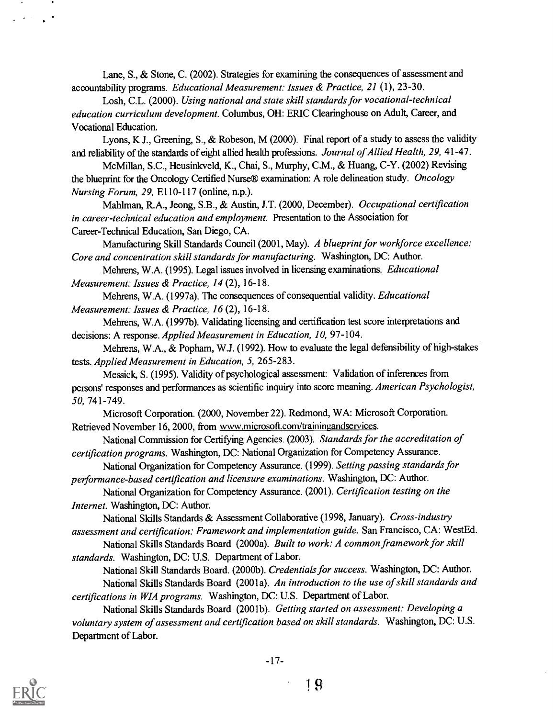Lane, S., & Stone, C. (2002). Strategies for examining the consequences of assessment and accountability programs. Educational Measurement: Issues & Practice, 21 (1), 23-30.

Losh, C.L. (2000). Using national and state skill standards for vocational-technical education curriculum development. Columbus, OH: ERIC Clearinghouse on Adult, Career, and Vocational Education.

Lyons, K J., Greening, S., & Robeson, M (2000). Final report of a study to assess the validity and reliability of the standards of eight allied health professions. Journal of Allied Health, 29, 41-47.

McMillan, S.C., Heusinkveld, K., Chai, S., Murphy, C.M., & Huang, C-Y. (2002) Revising the blueprint for the Oncology Certified Nurse® examination: A role delineation study. Oncology Nursing Forum, 29, E110-117 (online, n.p.).

Mahlman, R.A., Jeong, S.B., & Austin, J.T. (2000, December). Occupational certification in career-technical education and employment. Presentation to the Association for Career-Technical Education, San Diego, CA.

Manufacturing Skill Standards Council (2001, May). A blueprint for workforce excellence: Core and concentration skill standards for manufacturing. Washington, DC: Author.

Mehrens, W.A. (1995). Legal issues involved in licensing examinations. Educational Measurement: Issues & Practice, 14 (2), 16-18.

Mehrens, W.A. (1997a). The consequences of consequential validity. Educational Measurement: Issues & Practice, 16 (2), 16-18.

Mehrens, W.A. (1997b). Validating licensing and certification test score interpretations and decisions: A response. Applied Measurement in Education, 10, 97-104.

Mehrens, W.A., & Popham, W.J. (1992). How to evaluate the legal defensibility of high-stakes tests. Applied Measurement in Education, 5, 265-283.

Messick, S. (1995). Validity of psychological assessment: Validation of inferences from persons' responses and performances as scientific inquiry into score meaning. American Psychologist, 50, 741-749.

Microsoft Corporation. (2000, November 22). Redmond, WA: Microsoft Corporation. Retrieved November 16, 2000, from www.microsoft.com/trainingandservices.

National Commission for Certifying Agencies. (2003). Standards for the accreditation of certification programs. Washington, DC: National Organization for Competency Assurance.

National Organization for Competency Assurance. (1999). Setting passing standards for performance-based certification and licensure examinations. Washington, DC: Author.

National Organization for Competency Assurance. (2001). Certification testing on the Internet. Washington, DC: Author.

National Skills Standards & Assessment Collaborative (1998, January). Cross-industry assessment and certification: Framework and implementation guide. San Francisco, CA: WestEd.

National Skills Standards Board (2000a). Built to work: A common framework for skill standards. Washington, DC: U.S. Department of Labor.

National Skill Standards Board. (2000b). Credentials for success. Washington, DC: Author. National Skills Standards Board (2001a). An introduction to the use of skill standards and certifications in WIA programs. Washington, DC: U.S. Department of Labor.

National Skills Standards Board (2001b). Getting started on assessment: Developing a voluntary system of assessment and certification based on skill standards. Washington, DC: U.S. Department of Labor.

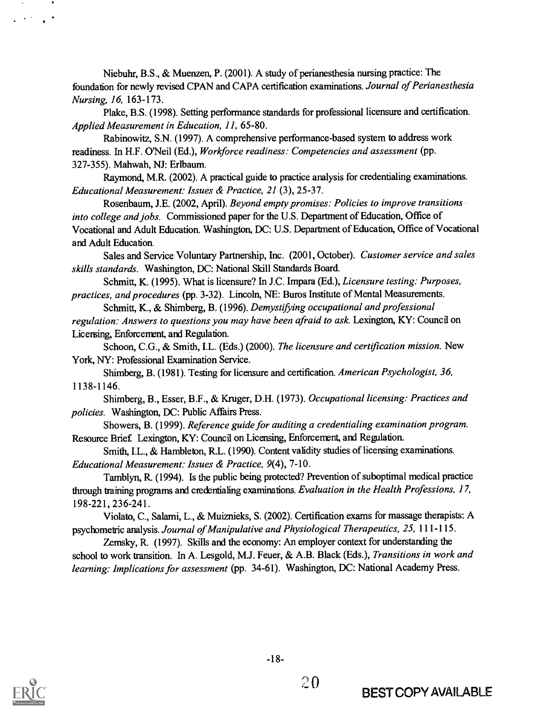Niebuhr, B.S., & Muenzen, P. (2001). A study of perianesthesia nursing practice: The foundation for newly revised CPAN and CAPA certification examinations. Journal of Perianesthesia Nursing, 16, 163-173.

Plake, B.S. (1998). Setting performance standards for professional licensure and certification. Applied Measurement in Education, 11, 65-80.

Rabinowitz, S.N. (1997). A comprehensive performance-based system to address work readiness. In H.F. O'Neil (Ed.), Workforce readiness: Competencies and assessment (pp. 327-355). Mahwah, NJ: Erlbaum.

Raymond, M.R. (2002). A practical guide to practice analysis for credentialing examinations. Educational Measurement: Issues & Practice, 21 (3), 25-37.

Rosenbaum, J.E. (2002, April). Beyond empty promises: Policies to improve transitions into college and jobs. Commissioned paper for the U.S. Department of Education, Office of Vocational and Adult Education. Washington, DC: U.S. Department of Education, Office of Vocational and Adult Education.

Sales and Service Voluntary Partnership, Inc. (2001, October). Customer service and sales skills standards. Washington, DC: National Skill Standards Board.

Schmitt, K. (1995). What is licensure? In J.C. Impara (Ed.), *Licensure testing: Purposes*, practices, and procedures (pp. 3-32). Lincoln, NE: Buros Institute of Mental Measurements.

Schmitt, K., & Shimberg, B. (1996). Demystifying occupational and professional regulation: Answers to questions you may have been afraid to ask. Lexington, KY: Council on Licersing, Enforcenent, and Regulation.

Schoon, C.G., & Smith, I.L. (Eds.) (2000). The licensure and certification mission. New York, NY: Professional Examination Service.

Shimberg, B. (1981). Testing for licensure and certification. American Psychologist, 36, 1138-1146.

Shimberg, B., Esser, B.F., & Kruger, D.H. (1973). Occupational licensing: Practices and policies. Washington, DC: Public Affairs Press.

Showers, B. (1999). Reference guide for auditing a credentialing examination program. Resource Brief Lexington, KY: Council on Licensing, Enforcement, and Regulation.

Smith, I.L., & Hambleton, R.L. (1990). Content validity studies of licensing examinations. Educational Measurement: Issues & Practice, 9(4), 7-10.

Tamblyn, R. (1994). Is the public being protected? Prevention of suboptimal medical practice through training programs and credentialing examinations. Evaluation in the Health Professions, 17, 198-221, 236-241.

Violato, C., Salami, L., & Muiznieks, S. (2002). Certification exams for massage therapists: A psychometric analysis. Journal of Manipulative and Physiological Therapeutics, 25, 111-115.

Zemsky, R (1997). Skills and the economy: An employer context for understanding the school to work transition. In A. Lesgold, M.J. Feuer, & A.B. Black (Eds.), Transitions in work and learning: Implications for assessment (pp. 34-61). Washington, DC: National Academy Press.



 $\Delta \sim 0.1$ 

20